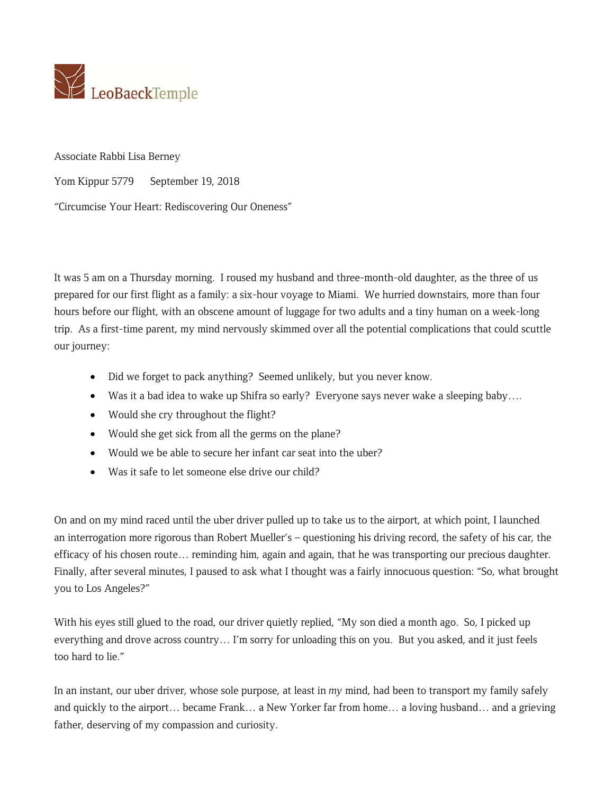

Associate Rabbi Lisa Berney

Yom Kippur 5779 September 19, 2018

"Circumcise Your Heart: Rediscovering Our Oneness"

It was 5 am on a Thursday morning. I roused my husband and three-month-old daughter, as the three of us prepared for our first flight as a family: a six-hour voyage to Miami. We hurried downstairs, more than four hours before our flight, with an obscene amount of luggage for two adults and a tiny human on a week-long trip. As a first-time parent, my mind nervously skimmed over all the potential complications that could scuttle our journey:

- Did we forget to pack anything? Seemed unlikely, but you never know.
- Was it a bad idea to wake up Shifra so early? Everyone says never wake a sleeping baby….
- Would she cry throughout the flight?
- Would she get sick from all the germs on the plane?
- Would we be able to secure her infant car seat into the uber?
- Was it safe to let someone else drive our child?

On and on my mind raced until the uber driver pulled up to take us to the airport, at which point, I launched an interrogation more rigorous than Robert Mueller's – questioning his driving record, the safety of his car, the efficacy of his chosen route… reminding him, again and again, that he was transporting our precious daughter. Finally, after several minutes, I paused to ask what I thought was a fairly innocuous question: "So, what brought you to Los Angeles?"

With his eyes still glued to the road, our driver quietly replied, "My son died a month ago. So, I picked up everything and drove across country… I'm sorry for unloading this on you. But you asked, and it just feels too hard to lie."

In an instant, our uber driver, whose sole purpose, at least in *my* mind, had been to transport my family safely and quickly to the airport… became Frank… a New Yorker far from home… a loving husband… and a grieving father, deserving of my compassion and curiosity.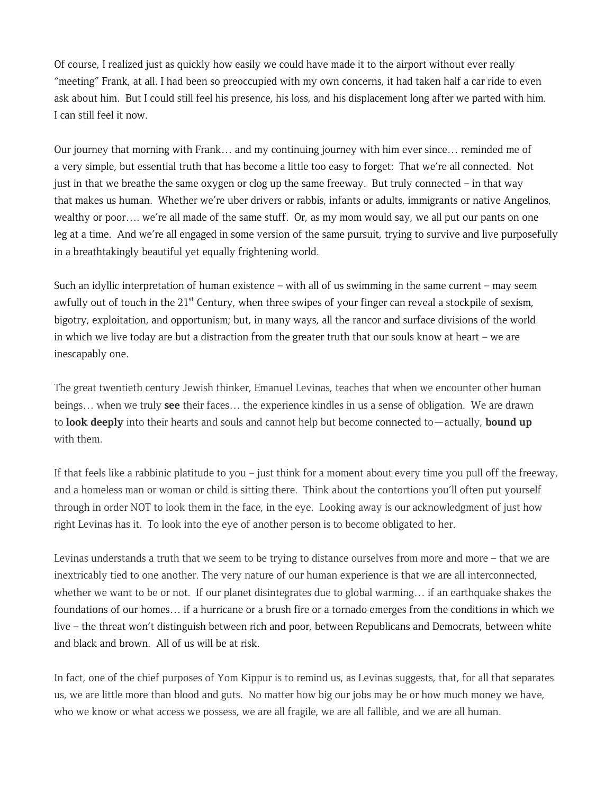Of course, I realized just as quickly how easily we could have made it to the airport without ever really "meeting" Frank, at all. I had been so preoccupied with my own concerns, it had taken half a car ride to even ask about him. But I could still feel his presence, his loss, and his displacement long after we parted with him. I can still feel it now.

Our journey that morning with Frank… and my continuing journey with him ever since… reminded me of a very simple, but essential truth that has become a little too easy to forget: That we're all connected. Not just in that we breathe the same oxygen or clog up the same freeway. But truly connected – in that way that makes us human. Whether we're uber drivers or rabbis, infants or adults, immigrants or native Angelinos, wealthy or poor…. we're all made of the same stuff. Or, as my mom would say, we all put our pants on one leg at a time. And we're all engaged in some version of the same pursuit, trying to survive and live purposefully in a breathtakingly beautiful yet equally frightening world.

Such an idyllic interpretation of human existence – with all of us swimming in the same current – may seem awfully out of touch in the 21<sup>st</sup> Century, when three swipes of your finger can reveal a stockpile of sexism, bigotry, exploitation, and opportunism; but, in many ways, all the rancor and surface divisions of the world in which we live today are but a distraction from the greater truth that our souls know at heart – we are inescapably one.

The great twentieth century Jewish thinker, Emanuel Levinas, teaches that when we encounter other human beings… when we truly **see** their faces… the experience kindles in us a sense of obligation. We are drawn to **look deeply** into their hearts and souls and cannot help but become connected to—actually, **bound up** with them.

If that feels like a rabbinic platitude to you – just think for a moment about every time you pull off the freeway, and a homeless man or woman or child is sitting there. Think about the contortions you'll often put yourself through in order NOT to look them in the face, in the eye. Looking away is our acknowledgment of just how right Levinas has it. To look into the eye of another person is to become obligated to her.

Levinas understands a truth that we seem to be trying to distance ourselves from more and more – that we are inextricably tied to one another. The very nature of our human experience is that we are all interconnected, whether we want to be or not. If our planet disintegrates due to global warming… if an earthquake shakes the foundations of our homes… if a hurricane or a brush fire or a tornado emerges from the conditions in which we live – the threat won't distinguish between rich and poor, between Republicans and Democrats, between white and black and brown. All of us will be at risk.

In fact, one of the chief purposes of Yom Kippur is to remind us, as Levinas suggests, that, for all that separates us, we are little more than blood and guts. No matter how big our jobs may be or how much money we have, who we know or what access we possess, we are all fragile, we are all fallible, and we are all human.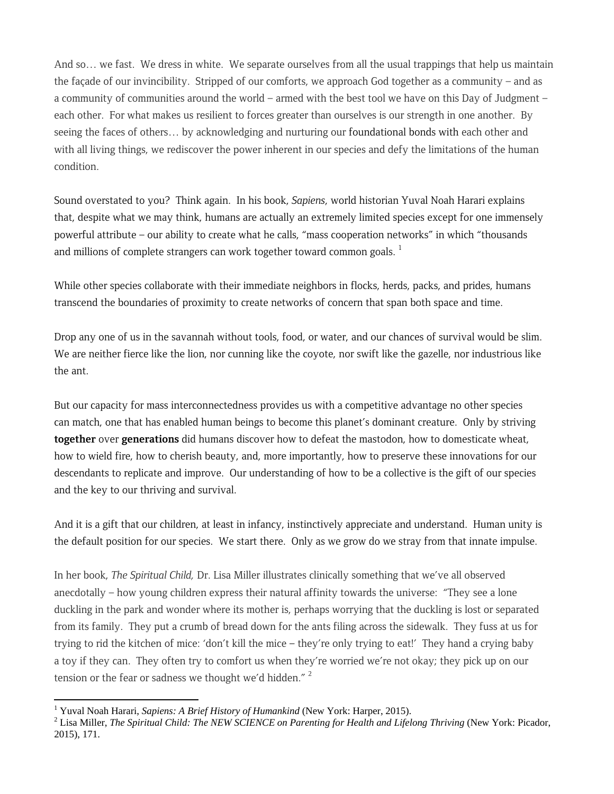And so… we fast. We dress in white. We separate ourselves from all the usual trappings that help us maintain the façade of our invincibility. Stripped of our comforts, we approach God together as a community – and as a community of communities around the world – armed with the best tool we have on this Day of Judgment – each other. For what makes us resilient to forces greater than ourselves is our strength in one another. By seeing the faces of others… by acknowledging and nurturing our foundational bonds with each other and with all living things, we rediscover the power inherent in our species and defy the limitations of the human condition.

Sound overstated to you? Think again. In his book, *Sapiens*, world historian Yuval Noah Harari explains that, despite what we may think, humans are actually an extremely limited species except for one immensely powerful attribute – our ability to create what he calls, "mass cooperation networks" in which "thousands and millions of complete strangers can work together toward common goals.  $<sup>1</sup>$ </sup>

While other species collaborate with their immediate neighbors in flocks, herds, packs, and prides, humans transcend the boundaries of proximity to create networks of concern that span both space and time.

Drop any one of us in the savannah without tools, food, or water, and our chances of survival would be slim. We are neither fierce like the lion, nor cunning like the coyote, nor swift like the gazelle, nor industrious like the ant.

But our capacity for mass interconnectedness provides us with a competitive advantage no other species can match, one that has enabled human beings to become this planet's dominant creature. Only by striving **together** over **generations** did humans discover how to defeat the mastodon, how to domesticate wheat, how to wield fire, how to cherish beauty, and, more importantly, how to preserve these innovations for our descendants to replicate and improve. Our understanding of how to be a collective is the gift of our species and the key to our thriving and survival.

And it is a gift that our children, at least in infancy, instinctively appreciate and understand. Human unity is the default position for our species. We start there. Only as we grow do we stray from that innate impulse.

In her book, *The Spiritual Child,* Dr. Lisa Miller illustrates clinically something that we've all observed anecdotally – how young children express their natural affinity towards the universe: "They see a lone duckling in the park and wonder where its mother is, perhaps worrying that the duckling is lost or separated from its family. They put a crumb of bread down for the ants filing across the sidewalk. They fuss at us for trying to rid the kitchen of mice: 'don't kill the mice – they're only trying to eat!' They hand a crying baby a toy if they can. They often try to comfort us when they're worried we're not okay; they pick up on our tension or the fear or sadness we thought we'd hidden."<sup>2</sup>

<sup>&</sup>lt;sup>1</sup> Yuval Noah Harari, *Sapiens: A Brief History of Humankind* (New York: Harper, 2015).<br><sup>2</sup> Lise Miller, *The Spiritual Child: The NEW SCIENCE* on Baranting for Haglth and Lifel.

Lisa Miller, *The Spiritual Child: The NEW SCIENCE on Parenting for Health and Lifelong Thriving* (New York: Picador, 2015), 171.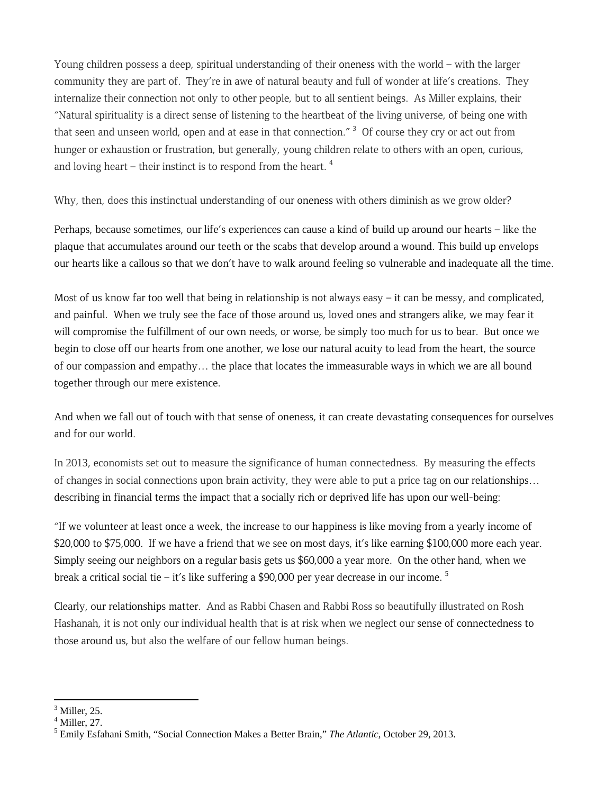Young children possess a deep, spiritual understanding of their oneness with the world – with the larger community they are part of. They're in awe of natural beauty and full of wonder at life's creations. They internalize their connection not only to other people, but to all sentient beings. As Miller explains, their "Natural spirituality is a direct sense of listening to the heartbeat of the living universe, of being one with that seen and unseen world, open and at ease in that connection."  $^3$  Of course they cry or act out from hunger or exhaustion or frustration, but generally, young children relate to others with an open, curious, and loving heart – their instinct is to respond from the heart.  $4$ 

Why, then, does this instinctual understanding of our oneness with others diminish as we grow older?

Perhaps, because sometimes, our life's experiences can cause a kind of build up around our hearts – like the plaque that accumulates around our teeth or the scabs that develop around a wound. This build up envelops our hearts like a callous so that we don't have to walk around feeling so vulnerable and inadequate all the time.

Most of us know far too well that being in relationship is not always easy – it can be messy, and complicated, and painful. When we truly see the face of those around us, loved ones and strangers alike, we may fear it will compromise the fulfillment of our own needs, or worse, be simply too much for us to bear. But once we begin to close off our hearts from one another, we lose our natural acuity to lead from the heart, the source of our compassion and empathy… the place that locates the immeasurable ways in which we are all bound together through our mere existence.

And when we fall out of touch with that sense of oneness, it can create devastating consequences for ourselves and for our world.

In 2013, economists set out to measure the significance of human connectedness. By measuring the effects of changes in social connections upon brain activity, they were able to put a price tag on our relationships… describing in financial terms the impact that a socially rich or deprived life has upon our well-being:

"If we volunteer at least once a week, the increase to our happiness is like moving from a yearly income of \$20,000 to \$75,000. If we have a friend that we see on most days, it's like earning \$100,000 more each year. Simply seeing our neighbors on a regular basis gets us \$60,000 a year more. On the other hand, when we break a critical social tie – it's like suffering a \$90,000 per year decrease in our income.  $5$ 

Clearly, our relationships matter. And as Rabbi Chasen and Rabbi Ross so beautifully illustrated on Rosh Hashanah, it is not only our individual health that is at risk when we neglect our sense of connectedness to those around us, but also the welfare of our fellow human beings.

  $<sup>3</sup>$  Miller, 25.</sup>

 $<sup>4</sup>$  Miller, 27.</sup>

<sup>5</sup> Emily Esfahani Smith, "Social Connection Makes a Better Brain," *The Atlantic*, October 29, 2013.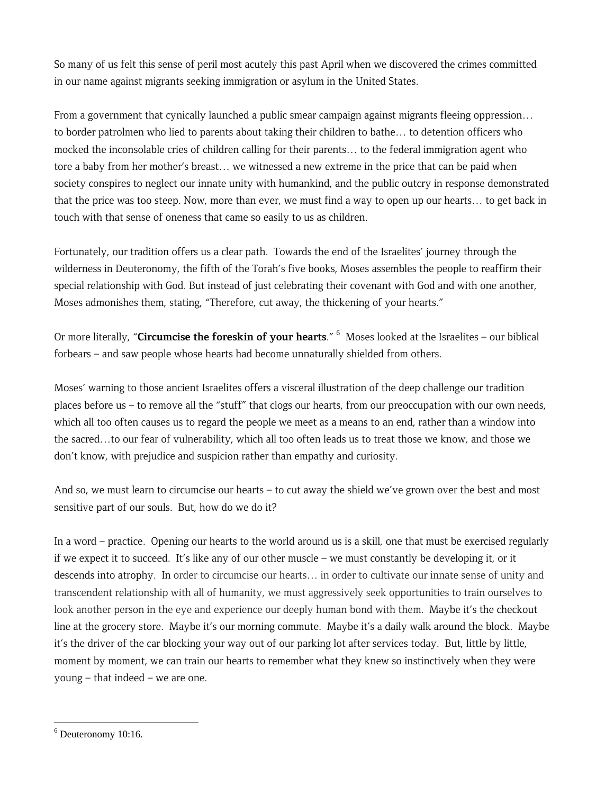So many of us felt this sense of peril most acutely this past April when we discovered the crimes committed in our name against migrants seeking immigration or asylum in the United States.

From a government that cynically launched a public smear campaign against migrants fleeing oppression... to border patrolmen who lied to parents about taking their children to bathe… to detention officers who mocked the inconsolable cries of children calling for their parents… to the federal immigration agent who tore a baby from her mother's breast… we witnessed a new extreme in the price that can be paid when society conspires to neglect our innate unity with humankind, and the public outcry in response demonstrated that the price was too steep. Now, more than ever, we must find a way to open up our hearts… to get back in touch with that sense of oneness that came so easily to us as children.

Fortunately, our tradition offers us a clear path. Towards the end of the Israelites' journey through the wilderness in Deuteronomy, the fifth of the Torah's five books, Moses assembles the people to reaffirm their special relationship with God. But instead of just celebrating their covenant with God and with one another, Moses admonishes them, stating, "Therefore, cut away, the thickening of your hearts."

Or more literally, "**Circumcise the foreskin of your hearts**." 6 Moses looked at the Israelites – our biblical forbears – and saw people whose hearts had become unnaturally shielded from others.

Moses' warning to those ancient Israelites offers a visceral illustration of the deep challenge our tradition places before us – to remove all the "stuff" that clogs our hearts, from our preoccupation with our own needs, which all too often causes us to regard the people we meet as a means to an end, rather than a window into the sacred…to our fear of vulnerability, which all too often leads us to treat those we know, and those we don't know, with prejudice and suspicion rather than empathy and curiosity.

And so, we must learn to circumcise our hearts – to cut away the shield we've grown over the best and most sensitive part of our souls. But, how do we do it?

In a word – practice. Opening our hearts to the world around us is a skill, one that must be exercised regularly if we expect it to succeed. It's like any of our other muscle – we must constantly be developing it, or it descends into atrophy. In order to circumcise our hearts… in order to cultivate our innate sense of unity and transcendent relationship with all of humanity, we must aggressively seek opportunities to train ourselves to look another person in the eye and experience our deeply human bond with them. Maybe it's the checkout line at the grocery store. Maybe it's our morning commute. Maybe it's a daily walk around the block. Maybe it's the driver of the car blocking your way out of our parking lot after services today. But, little by little, moment by moment, we can train our hearts to remember what they knew so instinctively when they were young – that indeed – we are one.

<sup>6</sup> Deuteronomy 10:16.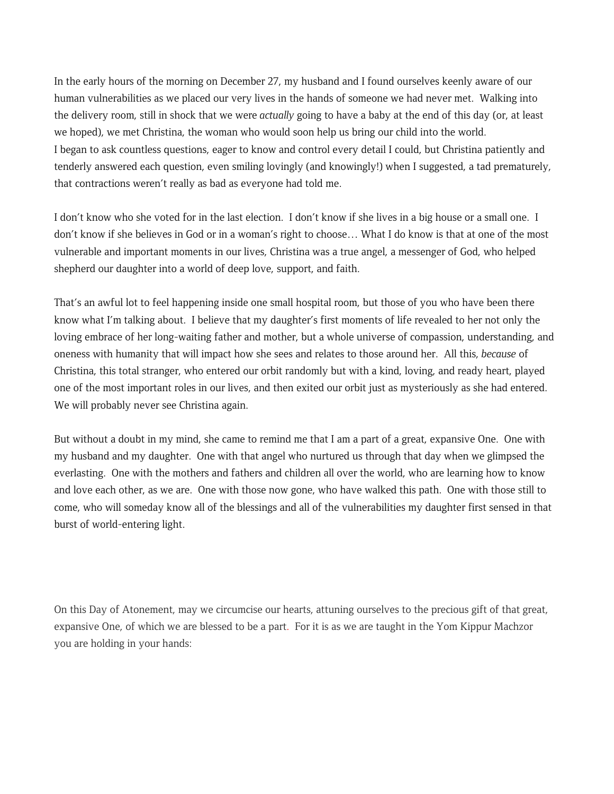In the early hours of the morning on December 27, my husband and I found ourselves keenly aware of our human vulnerabilities as we placed our very lives in the hands of someone we had never met. Walking into the delivery room, still in shock that we were *actually* going to have a baby at the end of this day (or, at least we hoped), we met Christina, the woman who would soon help us bring our child into the world. I began to ask countless questions, eager to know and control every detail I could, but Christina patiently and tenderly answered each question, even smiling lovingly (and knowingly!) when I suggested, a tad prematurely, that contractions weren't really as bad as everyone had told me.

I don't know who she voted for in the last election. I don't know if she lives in a big house or a small one. I don't know if she believes in God or in a woman's right to choose… What I do know is that at one of the most vulnerable and important moments in our lives, Christina was a true angel, a messenger of God, who helped shepherd our daughter into a world of deep love, support, and faith.

That's an awful lot to feel happening inside one small hospital room, but those of you who have been there know what I'm talking about. I believe that my daughter's first moments of life revealed to her not only the loving embrace of her long-waiting father and mother, but a whole universe of compassion, understanding, and oneness with humanity that will impact how she sees and relates to those around her. All this, *because* of Christina, this total stranger, who entered our orbit randomly but with a kind, loving, and ready heart, played one of the most important roles in our lives, and then exited our orbit just as mysteriously as she had entered. We will probably never see Christina again.

But without a doubt in my mind, she came to remind me that I am a part of a great, expansive One. One with my husband and my daughter. One with that angel who nurtured us through that day when we glimpsed the everlasting. One with the mothers and fathers and children all over the world, who are learning how to know and love each other, as we are. One with those now gone, who have walked this path. One with those still to come, who will someday know all of the blessings and all of the vulnerabilities my daughter first sensed in that burst of world-entering light.

On this Day of Atonement, may we circumcise our hearts, attuning ourselves to the precious gift of that great, expansive One, of which we are blessed to be a part. For it is as we are taught in the Yom Kippur Machzor you are holding in your hands: